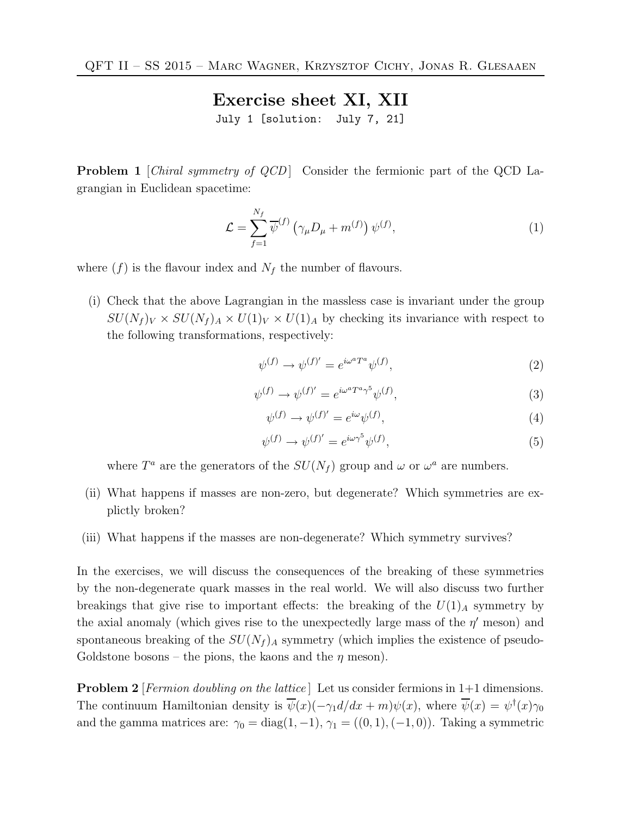Exercise sheet XI, XII

July 1 [solution: July 7, 21]

**Problem 1** [*Chiral symmetry of QCD*] Consider the fermionic part of the QCD Lagrangian in Euclidean spacetime:

$$
\mathcal{L} = \sum_{f=1}^{N_f} \overline{\psi}^{(f)} \left( \gamma_\mu D_\mu + m^{(f)} \right) \psi^{(f)},\tag{1}
$$

where  $(f)$  is the flavour index and  $N_f$  the number of flavours.

(i) Check that the above Lagrangian in the massless case is invariant under the group  $SU(N_f)_V \times SU(N_f)_A \times U(1)_V \times U(1)_A$  by checking its invariance with respect to the following transformations, respectively:

$$
\psi^{(f)} \to \psi^{(f)'} = e^{i\omega^a T^a} \psi^{(f)},\tag{2}
$$

$$
\psi^{(f)} \to \psi^{(f)'} = e^{i\omega^a T^a \gamma^5} \psi^{(f)},\tag{3}
$$

$$
\psi^{(f)} \to \psi^{(f)'} = e^{i\omega} \psi^{(f)},\tag{4}
$$

$$
\psi^{(f)} \to \psi^{(f)'} = e^{i\omega \gamma^5} \psi^{(f)},\tag{5}
$$

where  $T^a$  are the generators of the  $SU(N_f)$  group and  $\omega$  or  $\omega^a$  are numbers.

- (ii) What happens if masses are non-zero, but degenerate? Which symmetries are explictly broken?
- (iii) What happens if the masses are non-degenerate? Which symmetry survives?

In the exercises, we will discuss the consequences of the breaking of these symmetries by the non-degenerate quark masses in the real world. We will also discuss two further breakings that give rise to important effects: the breaking of the  $U(1)_A$  symmetry by the axial anomaly (which gives rise to the unexpectedly large mass of the  $\eta'$  meson) and spontaneous breaking of the  $SU(N_f)$ <sub>A</sub> symmetry (which implies the existence of pseudo-Goldstone bosons – the pions, the kaons and the  $\eta$  meson).

**Problem 2** [Fermion doubling on the lattice] Let us consider fermions in 1+1 dimensions. The continuum Hamiltonian density is  $\overline{\psi}(x)(-\gamma_1 d/dx + m)\psi(x)$ , where  $\overline{\psi}(x) = \psi^{\dagger}(x)\gamma_0$ and the gamma matrices are:  $\gamma_0 = \text{diag}(1, -1)$ ,  $\gamma_1 = ((0, 1), (-1, 0))$ . Taking a symmetric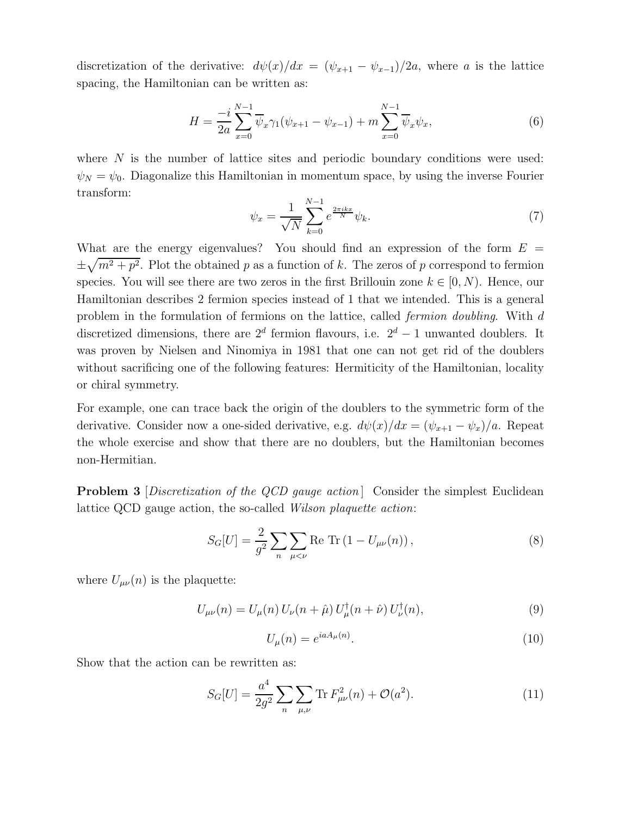discretization of the derivative:  $d\psi(x)/dx = (\psi_{x+1} - \psi_{x-1})/2a$ , where a is the lattice spacing, the Hamiltonian can be written as:

$$
H = \frac{-i}{2a} \sum_{x=0}^{N-1} \overline{\psi}_x \gamma_1 (\psi_{x+1} - \psi_{x-1}) + m \sum_{x=0}^{N-1} \overline{\psi}_x \psi_x,
$$
 (6)

where  $N$  is the number of lattice sites and periodic boundary conditions were used:  $\psi_N = \psi_0$ . Diagonalize this Hamiltonian in momentum space, by using the inverse Fourier transform:

$$
\psi_x = \frac{1}{\sqrt{N}} \sum_{k=0}^{N-1} e^{\frac{2\pi ikx}{N}} \psi_k.
$$
\n(7)

What are the energy eigenvalues? You should find an expression of the form  $E =$  $\pm \sqrt{m^2 + p^2}$ . Plot the obtained p as a function of k. The zeros of p correspond to fermion species. You will see there are two zeros in the first Brillouin zone  $k \in [0, N)$ . Hence, our Hamiltonian describes 2 fermion species instead of 1 that we intended. This is a general problem in the formulation of fermions on the lattice, called fermion doubling. With d discretized dimensions, there are  $2^d$  fermion flavours, i.e.  $2^d - 1$  unwanted doublers. It was proven by Nielsen and Ninomiya in 1981 that one can not get rid of the doublers without sacrificing one of the following features: Hermiticity of the Hamiltonian, locality or chiral symmetry.

For example, one can trace back the origin of the doublers to the symmetric form of the derivative. Consider now a one-sided derivative, e.g.  $d\psi(x)/dx = (\psi_{x+1} - \psi_x)/a$ . Repeat the whole exercise and show that there are no doublers, but the Hamiltonian becomes non-Hermitian.

**Problem 3** Discretization of the QCD gauge action Consider the simplest Euclidean lattice QCD gauge action, the so-called Wilson plaquette action:

$$
S_G[U] = \frac{2}{g^2} \sum_{n} \sum_{\mu < \nu} \text{Re Tr} \left( 1 - U_{\mu\nu}(n) \right),\tag{8}
$$

where  $U_{\mu\nu}(n)$  is the plaquette:

$$
U_{\mu\nu}(n) = U_{\mu}(n) U_{\nu}(n+\hat{\mu}) U_{\mu}^{\dagger}(n+\hat{\nu}) U_{\nu}^{\dagger}(n), \tag{9}
$$

$$
U_{\mu}(n) = e^{iaA_{\mu}(n)}.\tag{10}
$$

Show that the action can be rewritten as:

$$
S_G[U] = \frac{a^4}{2g^2} \sum_n \sum_{\mu,\nu} \text{Tr} F_{\mu\nu}^2(n) + \mathcal{O}(a^2). \tag{11}
$$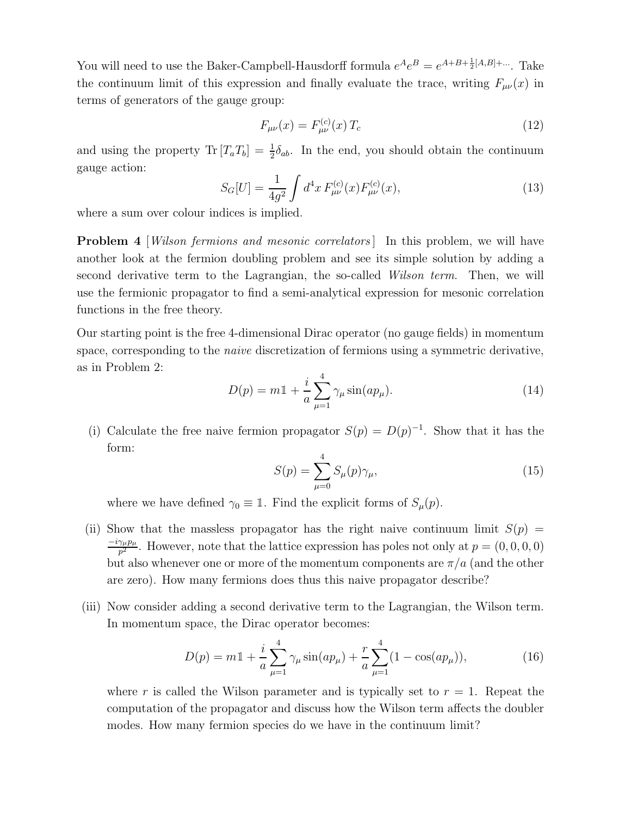You will need to use the Baker-Campbell-Hausdorff formula  $e^A e^B = e^{A+B+\frac{1}{2}[A,B]+\dots}$ . Take the continuum limit of this expression and finally evaluate the trace, writing  $F_{\mu\nu}(x)$  in terms of generators of the gauge group:

$$
F_{\mu\nu}(x) = F_{\mu\nu}^{(c)}(x) T_c \tag{12}
$$

and using the property  $\text{Tr} [T_a T_b] = \frac{1}{2} \delta_{ab}$ . In the end, you should obtain the continuum gauge action:

$$
S_G[U] = \frac{1}{4g^2} \int d^4x \, F_{\mu\nu}^{(c)}(x) F_{\mu\nu}^{(c)}(x),\tag{13}
$$

where a sum over colour indices is implied.

**Problem 4** *Wilson fermions and mesonic correlators* In this problem, we will have another look at the fermion doubling problem and see its simple solution by adding a second derivative term to the Lagrangian, the so-called Wilson term. Then, we will use the fermionic propagator to find a semi-analytical expression for mesonic correlation functions in the free theory.

Our starting point is the free 4-dimensional Dirac operator (no gauge fields) in momentum space, corresponding to the naive discretization of fermions using a symmetric derivative, as in Problem 2:

$$
D(p) = m\mathbb{1} + \frac{i}{a} \sum_{\mu=1}^{4} \gamma_{\mu} \sin(ap_{\mu}).
$$
\n(14)

(i) Calculate the free naive fermion propagator  $S(p) = D(p)^{-1}$ . Show that it has the form:

$$
S(p) = \sum_{\mu=0}^{4} S_{\mu}(p)\gamma_{\mu},
$$
\n(15)

where we have defined  $\gamma_0 \equiv \mathbb{1}$ . Find the explicit forms of  $S_\mu(p)$ .

- (ii) Show that the massless propagator has the right naive continuum limit  $S(p)$  $-i\gamma_\mu p_\mu$  $\frac{\gamma_{\mu}p_{\mu}}{p^2}$ . However, note that the lattice expression has poles not only at  $p = (0, 0, 0, 0)$ but also whenever one or more of the momentum components are  $\pi/a$  (and the other are zero). How many fermions does thus this naive propagator describe?
- (iii) Now consider adding a second derivative term to the Lagrangian, the Wilson term. In momentum space, the Dirac operator becomes:

$$
D(p) = m1 + \frac{i}{a} \sum_{\mu=1}^{4} \gamma_{\mu} \sin(ap_{\mu}) + \frac{r}{a} \sum_{\mu=1}^{4} (1 - \cos(ap_{\mu})), \qquad (16)
$$

where r is called the Wilson parameter and is typically set to  $r = 1$ . Repeat the computation of the propagator and discuss how the Wilson term affects the doubler modes. How many fermion species do we have in the continuum limit?